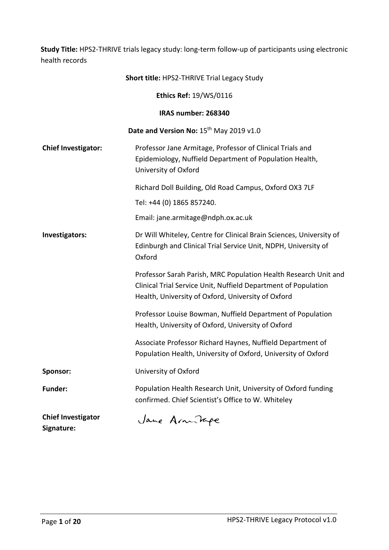**Study Title:** HPS2-THRIVE trials legacy study: long-term follow-up of participants using electronic health records

|                                         | <b>Short title: HPS2-THRIVE Trial Legacy Study</b>                                                                                                                                      |
|-----------------------------------------|-----------------------------------------------------------------------------------------------------------------------------------------------------------------------------------------|
|                                         | Ethics Ref: 19/WS/0116                                                                                                                                                                  |
|                                         | IRAS number: 268340                                                                                                                                                                     |
|                                         | Date and Version No: 15th May 2019 v1.0                                                                                                                                                 |
| <b>Chief Investigator:</b>              | Professor Jane Armitage, Professor of Clinical Trials and<br>Epidemiology, Nuffield Department of Population Health,<br>University of Oxford                                            |
|                                         | Richard Doll Building, Old Road Campus, Oxford OX3 7LF                                                                                                                                  |
|                                         | Tel: +44 (0) 1865 857240.                                                                                                                                                               |
|                                         | Email: jane.armitage@ndph.ox.ac.uk                                                                                                                                                      |
| Investigators:                          | Dr Will Whiteley, Centre for Clinical Brain Sciences, University of<br>Edinburgh and Clinical Trial Service Unit, NDPH, University of<br>Oxford                                         |
|                                         | Professor Sarah Parish, MRC Population Health Research Unit and<br>Clinical Trial Service Unit, Nuffield Department of Population<br>Health, University of Oxford, University of Oxford |
|                                         | Professor Louise Bowman, Nuffield Department of Population<br>Health, University of Oxford, University of Oxford                                                                        |
|                                         | Associate Professor Richard Haynes, Nuffield Department of<br>Population Health, University of Oxford, University of Oxford                                                             |
| <b>Sponsor:</b>                         | University of Oxford                                                                                                                                                                    |
| <b>Funder:</b>                          | Population Health Research Unit, University of Oxford funding<br>confirmed. Chief Scientist's Office to W. Whiteley                                                                     |
| <b>Chief Investigator</b><br>Signature: | Jane Armitage                                                                                                                                                                           |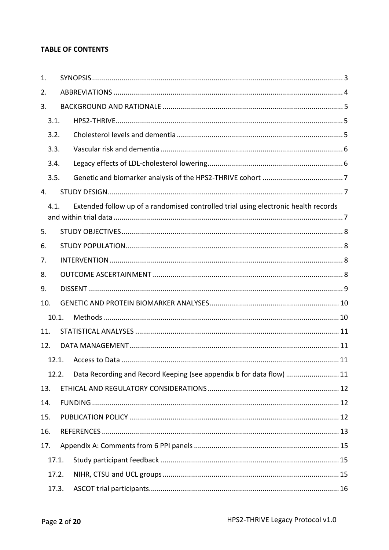# **TABLE OF CONTENTS**

| 1.             |                                                                                     |  |
|----------------|-------------------------------------------------------------------------------------|--|
| 2.             |                                                                                     |  |
| 3.             |                                                                                     |  |
| 3.1.           |                                                                                     |  |
| 3.2.           |                                                                                     |  |
| 3.3.           |                                                                                     |  |
| 3.4.           |                                                                                     |  |
| 3.5.           |                                                                                     |  |
| $\mathbf{4}$ . |                                                                                     |  |
| 4.1.           | Extended follow up of a randomised controlled trial using electronic health records |  |
| 5.             |                                                                                     |  |
|                |                                                                                     |  |
| 6.             |                                                                                     |  |
| 7.             |                                                                                     |  |
| 8.             |                                                                                     |  |
| 9.             |                                                                                     |  |
| 10.            |                                                                                     |  |
| 10.1.          |                                                                                     |  |
| 11.            |                                                                                     |  |
| 12.            |                                                                                     |  |
| 12.1.          |                                                                                     |  |
| 12.2.          | Data Recording and Record Keeping (see appendix b for data flow)  11                |  |
| 13.            |                                                                                     |  |
| 14.            |                                                                                     |  |
| 15.            |                                                                                     |  |
| 16.            |                                                                                     |  |
| 17.            |                                                                                     |  |
| 17.1.          |                                                                                     |  |
| 17.2.          |                                                                                     |  |
| 17.3.          |                                                                                     |  |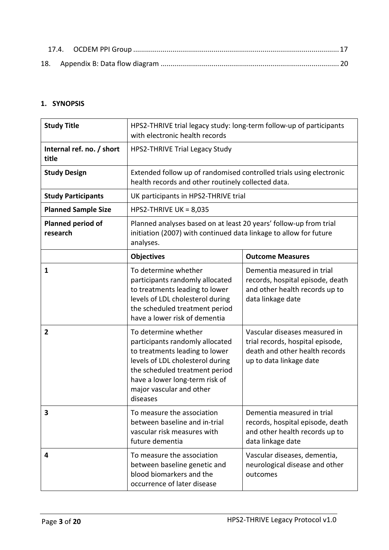# <span id="page-2-0"></span>**1. SYNOPSIS**

| <b>Study Title</b>                   | HPS2-THRIVE trial legacy study: long-term follow-up of participants<br>with electronic health records                                                                                                                                     |                                                                                                                                |  |
|--------------------------------------|-------------------------------------------------------------------------------------------------------------------------------------------------------------------------------------------------------------------------------------------|--------------------------------------------------------------------------------------------------------------------------------|--|
| Internal ref. no. / short<br>title   | <b>HPS2-THRIVE Trial Legacy Study</b>                                                                                                                                                                                                     |                                                                                                                                |  |
| <b>Study Design</b>                  | Extended follow up of randomised controlled trials using electronic<br>health records and other routinely collected data.                                                                                                                 |                                                                                                                                |  |
| <b>Study Participants</b>            | UK participants in HPS2-THRIVE trial                                                                                                                                                                                                      |                                                                                                                                |  |
| <b>Planned Sample Size</b>           | HPS2-THRIVE UK = $8,035$                                                                                                                                                                                                                  |                                                                                                                                |  |
| <b>Planned period of</b><br>research | Planned analyses based on at least 20 years' follow-up from trial<br>initiation (2007) with continued data linkage to allow for future<br>analyses.                                                                                       |                                                                                                                                |  |
|                                      | <b>Objectives</b>                                                                                                                                                                                                                         | <b>Outcome Measures</b>                                                                                                        |  |
| 1                                    | To determine whether<br>participants randomly allocated<br>to treatments leading to lower<br>levels of LDL cholesterol during<br>the scheduled treatment period<br>have a lower risk of dementia                                          | Dementia measured in trial<br>records, hospital episode, death<br>and other health records up to<br>data linkage date          |  |
| $\overline{2}$                       | To determine whether<br>participants randomly allocated<br>to treatments leading to lower<br>levels of LDL cholesterol during<br>the scheduled treatment period<br>have a lower long-term risk of<br>major vascular and other<br>diseases | Vascular diseases measured in<br>trial records, hospital episode,<br>death and other health records<br>up to data linkage date |  |
| 3                                    | To measure the association<br>between baseline and in-trial<br>vascular risk measures with<br>future dementia                                                                                                                             | Dementia measured in trial<br>records, hospital episode, death<br>and other health records up to<br>data linkage date          |  |
| 4                                    | To measure the association<br>between baseline genetic and<br>blood biomarkers and the<br>occurrence of later disease                                                                                                                     | Vascular diseases, dementia,<br>neurological disease and other<br>outcomes                                                     |  |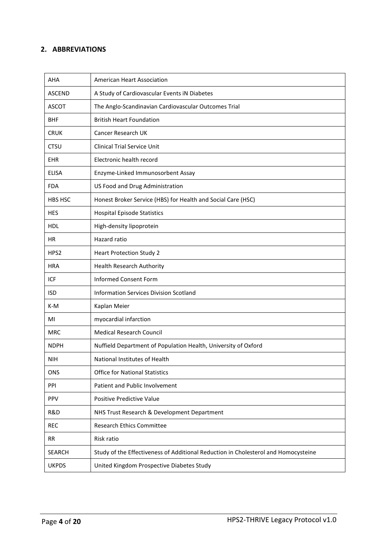# <span id="page-3-0"></span>**2. ABBREVIATIONS**

| AHA           | American Heart Association                                                         |
|---------------|------------------------------------------------------------------------------------|
| ASCEND        | A Study of Cardiovascular Events iN Diabetes                                       |
| <b>ASCOT</b>  | The Anglo-Scandinavian Cardiovascular Outcomes Trial                               |
| <b>BHF</b>    | <b>British Heart Foundation</b>                                                    |
| <b>CRUK</b>   | Cancer Research UK                                                                 |
| <b>CTSU</b>   | <b>Clinical Trial Service Unit</b>                                                 |
| EHR           | Electronic health record                                                           |
| <b>ELISA</b>  | Enzyme-Linked Immunosorbent Assay                                                  |
| <b>FDA</b>    | US Food and Drug Administration                                                    |
| HBS HSC       | Honest Broker Service (HBS) for Health and Social Care (HSC)                       |
| <b>HES</b>    | <b>Hospital Episode Statistics</b>                                                 |
| <b>HDL</b>    | High-density lipoprotein                                                           |
| НR            | Hazard ratio                                                                       |
| HPS2          | <b>Heart Protection Study 2</b>                                                    |
| <b>HRA</b>    | <b>Health Research Authority</b>                                                   |
| <b>ICF</b>    | <b>Informed Consent Form</b>                                                       |
| <b>ISD</b>    | Information Services Division Scotland                                             |
| K-M           | Kaplan Meier                                                                       |
| MI            | myocardial infarction                                                              |
| <b>MRC</b>    | <b>Medical Research Council</b>                                                    |
| <b>NDPH</b>   | Nuffield Department of Population Health, University of Oxford                     |
| <b>NIH</b>    | National Institutes of Health                                                      |
| ONS           | <b>Office for National Statistics</b>                                              |
| PPI           | Patient and Public Involvement                                                     |
| PPV           | Positive Predictive Value                                                          |
| R&D           | NHS Trust Research & Development Department                                        |
| <b>REC</b>    | <b>Research Ethics Committee</b>                                                   |
| <b>RR</b>     | Risk ratio                                                                         |
| <b>SEARCH</b> | Study of the Effectiveness of Additional Reduction in Cholesterol and Homocysteine |
| <b>UKPDS</b>  | United Kingdom Prospective Diabetes Study                                          |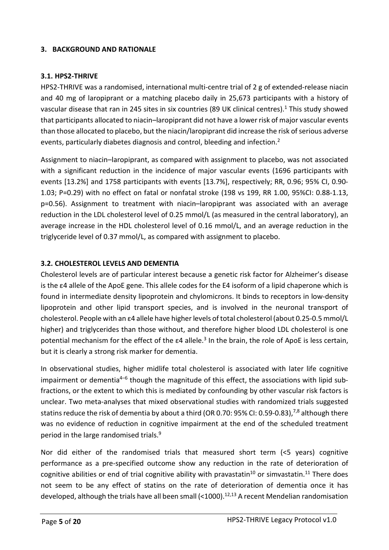## <span id="page-4-0"></span>**3. BACKGROUND AND RATIONALE**

## <span id="page-4-1"></span>**3.1. HPS2-THRIVE**

HPS2-THRIVE was a randomised, international multi-centre trial of 2 g of extended-release niacin and 40 mg of laropiprant or a matching placebo daily in 25,673 participants with a history of vascular disease that ran in 245 sites in six countries (89 UK clinical centres).<sup>1</sup> This study showed that participants allocated to niacin–laropiprant did not have a lower risk of major vascular events than those allocated to placebo, but the niacin/laropiprant did increase the risk of serious adverse events, particularly diabetes diagnosis and control, bleeding and infection.<sup>2</sup>

Assignment to niacin–laropiprant, as compared with assignment to placebo, was not associated with a significant reduction in the incidence of major vascular events (1696 participants with events [13.2%] and 1758 participants with events [13.7%], respectively; RR, 0.96; 95% CI, 0.90- 1.03; P=0.29) with no effect on fatal or nonfatal stroke (198 vs 199, RR 1.00, 95%CI: 0.88-1.13, p=0.56). Assignment to treatment with niacin–laropiprant was associated with an average reduction in the LDL cholesterol level of 0.25 mmol/L (as measured in the central laboratory), an average increase in the HDL cholesterol level of 0.16 mmol/L, and an average reduction in the triglyceride level of 0.37 mmol/L, as compared with assignment to placebo.

## <span id="page-4-2"></span>**3.2. CHOLESTEROL LEVELS AND DEMENTIA**

Cholesterol levels are of particular interest because a genetic risk factor for Alzheimer's disease is the ε4 allele of the ApoE gene. This allele codes for the E4 isoform of a lipid chaperone which is found in intermediate density lipoprotein and chylomicrons. It binds to receptors in low-density lipoprotein and other lipid transport species, and is involved in the neuronal transport of cholesterol. People with an ε4 allele have higher levels of total cholesterol (about 0.25-0.5 mmol/L higher) and triglycerides than those without, and therefore higher blood LDL cholesterol is one potential mechanism for the effect of the ε4 allele.<sup>3</sup> In the brain, the role of ApoE is less certain, but it is clearly a strong risk marker for dementia.

In observational studies, higher midlife total cholesterol is associated with later life cognitive impairment or dementia<sup>4–6</sup> though the magnitude of this effect, the associations with lipid subfractions, or the extent to which this is mediated by confounding by other vascular risk factors is unclear. Two meta-analyses that mixed observational studies with randomized trials suggested statins reduce the risk of dementia by about a third (OR 0.70: 95% CI: 0.59-0.83),<sup>7,8</sup> although there was no evidence of reduction in cognitive impairment at the end of the scheduled treatment period in the large randomised trials.<sup>9</sup>

Nor did either of the randomised trials that measured short term (<5 years) cognitive performance as a pre-specified outcome show any reduction in the rate of deterioration of cognitive abilities or end of trial cognitive ability with pravastatin<sup>10</sup> or simvastatin.<sup>11</sup> There does not seem to be any effect of statins on the rate of deterioration of dementia once it has developed, although the trials have all been small  $(<1000)$ .<sup>12,13</sup> A recent Mendelian randomisation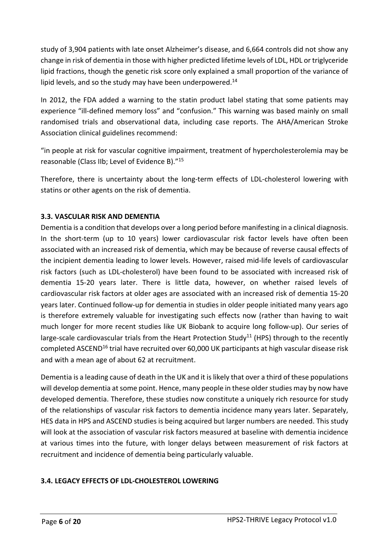study of 3,904 patients with late onset Alzheimer's disease, and 6,664 controls did not show any change in risk of dementia in those with higher predicted lifetime levels of LDL, HDL or triglyceride lipid fractions, though the genetic risk score only explained a small proportion of the variance of lipid levels, and so the study may have been underpowered. $14$ 

In 2012, the FDA added a warning to the statin product label stating that some patients may experience "ill-defined memory loss" and "confusion." This warning was based mainly on small randomised trials and observational data, including case reports. The AHA/American Stroke Association clinical guidelines recommend:

"in people at risk for vascular cognitive impairment, treatment of hypercholesterolemia may be reasonable (Class IIb; Level of Evidence B)."<sup>15</sup>

Therefore, there is uncertainty about the long-term effects of LDL-cholesterol lowering with statins or other agents on the risk of dementia.

# <span id="page-5-0"></span>**3.3. VASCULAR RISK AND DEMENTIA**

Dementia is a condition that develops over a long period before manifesting in a clinical diagnosis. In the short-term (up to 10 years) lower cardiovascular risk factor levels have often been associated with an increased risk of dementia, which may be because of reverse causal effects of the incipient dementia leading to lower levels. However, raised mid-life levels of cardiovascular risk factors (such as LDL-cholesterol) have been found to be associated with increased risk of dementia 15-20 years later. There is little data, however, on whether raised levels of cardiovascular risk factors at older ages are associated with an increased risk of dementia 15-20 years later. Continued follow-up for dementia in studies in older people initiated many years ago is therefore extremely valuable for investigating such effects now (rather than having to wait much longer for more recent studies like UK Biobank to acquire long follow-up). Our series of large-scale cardiovascular trials from the Heart Protection Study<sup>11</sup> (HPS) through to the recently completed ASCEND<sup>16</sup> trial have recruited over 60,000 UK participants at high vascular disease risk and with a mean age of about 62 at recruitment.

Dementia is a leading cause of death in the UK and it is likely that over a third of these populations will develop dementia at some point. Hence, many people in these older studies may by now have developed dementia. Therefore, these studies now constitute a uniquely rich resource for study of the relationships of vascular risk factors to dementia incidence many years later. Separately, HES data in HPS and ASCEND studies is being acquired but larger numbers are needed. This study will look at the association of vascular risk factors measured at baseline with dementia incidence at various times into the future, with longer delays between measurement of risk factors at recruitment and incidence of dementia being particularly valuable.

# <span id="page-5-1"></span>**3.4. LEGACY EFFECTS OF LDL-CHOLESTEROL LOWERING**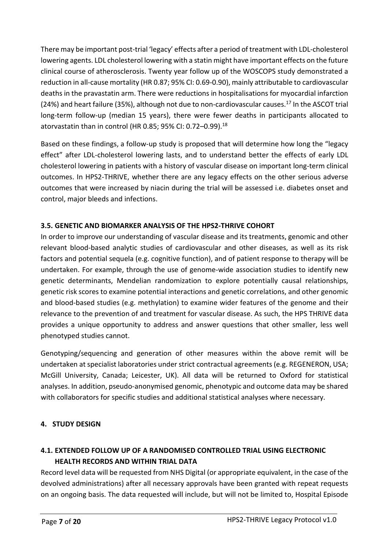There may be important post-trial 'legacy' effects after a period of treatment with LDL-cholesterol lowering agents. LDL cholesterol lowering with a statin might have important effects on the future clinical course of atherosclerosis. Twenty year follow up of the WOSCOPS study demonstrated a reduction in all-cause mortality (HR 0.87; 95% CI: 0.69-0.90), mainly attributable to cardiovascular deaths in the pravastatin arm. There were reductions in hospitalisations for myocardial infarction (24%) and heart failure (35%), although not due to non-cardiovascular causes.<sup>17</sup> In the ASCOT trial long-term follow-up (median 15 years), there were fewer deaths in participants allocated to atorvastatin than in control (HR 0.85; 95% CI: 0.72–0.99).<sup>18</sup>

Based on these findings, a follow-up study is proposed that will determine how long the "legacy effect" after LDL-cholesterol lowering lasts, and to understand better the effects of early LDL cholesterol lowering in patients with a history of vascular disease on important long-term clinical outcomes. In HPS2-THRIVE, whether there are any legacy effects on the other serious adverse outcomes that were increased by niacin during the trial will be assessed i.e. diabetes onset and control, major bleeds and infections.

# <span id="page-6-0"></span>**3.5. GENETIC AND BIOMARKER ANALYSIS OF THE HPS2-THRIVE COHORT**

In order to improve our understanding of vascular disease and its treatments, genomic and other relevant blood-based analytic studies of cardiovascular and other diseases, as well as its risk factors and potential sequela (e.g. cognitive function), and of patient response to therapy will be undertaken. For example, through the use of genome-wide association studies to identify new genetic determinants, Mendelian randomization to explore potentially causal relationships, genetic risk scores to examine potential interactions and genetic correlations, and other genomic and blood-based studies (e.g. methylation) to examine wider features of the genome and their relevance to the prevention of and treatment for vascular disease. As such, the HPS THRIVE data provides a unique opportunity to address and answer questions that other smaller, less well phenotyped studies cannot.

Genotyping/sequencing and generation of other measures within the above remit will be undertaken at specialist laboratories under strict contractual agreements (e.g. REGENERON, USA; McGill University, Canada; Leicester, UK). All data will be returned to Oxford for statistical analyses. In addition, pseudo-anonymised genomic, phenotypic and outcome data may be shared with collaborators for specific studies and additional statistical analyses where necessary.

# <span id="page-6-1"></span>**4. STUDY DESIGN**

# <span id="page-6-2"></span>**4.1. EXTENDED FOLLOW UP OF A RANDOMISED CONTROLLED TRIAL USING ELECTRONIC HEALTH RECORDS AND WITHIN TRIAL DATA**

Record level data will be requested from NHS Digital (or appropriate equivalent, in the case of the devolved administrations) after all necessary approvals have been granted with repeat requests on an ongoing basis. The data requested will include, but will not be limited to, Hospital Episode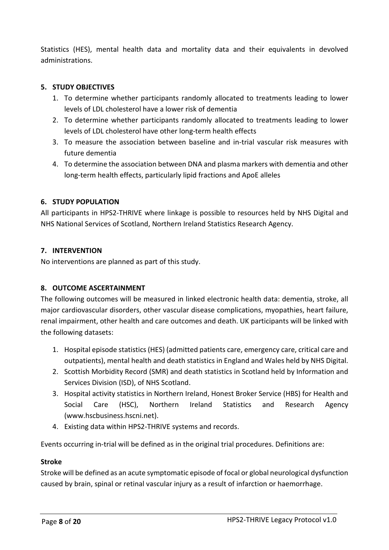Statistics (HES), mental health data and mortality data and their equivalents in devolved administrations.

## <span id="page-7-0"></span>**5. STUDY OBJECTIVES**

- 1. To determine whether participants randomly allocated to treatments leading to lower levels of LDL cholesterol have a lower risk of dementia
- 2. To determine whether participants randomly allocated to treatments leading to lower levels of LDL cholesterol have other long-term health effects
- 3. To measure the association between baseline and in-trial vascular risk measures with future dementia
- 4. To determine the association between DNA and plasma markers with dementia and other long-term health effects, particularly lipid fractions and ApoE alleles

## <span id="page-7-1"></span>**6. STUDY POPULATION**

All participants in HPS2-THRIVE where linkage is possible to resources held by NHS Digital and NHS National Services of Scotland, Northern Ireland Statistics Research Agency.

## <span id="page-7-2"></span>**7. INTERVENTION**

No interventions are planned as part of this study.

# <span id="page-7-3"></span>**8. OUTCOME ASCERTAINMENT**

The following outcomes will be measured in linked electronic health data: dementia, stroke, all major cardiovascular disorders, other vascular disease complications, myopathies, heart failure, renal impairment, other health and care outcomes and death. UK participants will be linked with the following datasets:

- 1. Hospital episode statistics (HES) (admitted patients care, emergency care, critical care and outpatients), mental health and death statistics in England and Wales held by NHS Digital.
- 2. Scottish Morbidity Record (SMR) and death statistics in Scotland held by Information and Services Division (ISD), of NHS Scotland.
- 3. Hospital activity statistics in Northern Ireland, Honest Broker Service (HBS) for Health and Social Care (HSC), Northern Ireland Statistics and Research Agency (www.hscbusiness.hscni.net).
- 4. Existing data within HPS2-THRIVE systems and records.

Events occurring in-trial will be defined as in the original trial procedures. Definitions are:

### **Stroke**

Stroke will be defined as an acute symptomatic episode of focal or global neurological dysfunction caused by brain, spinal or retinal vascular injury as a result of infarction or haemorrhage.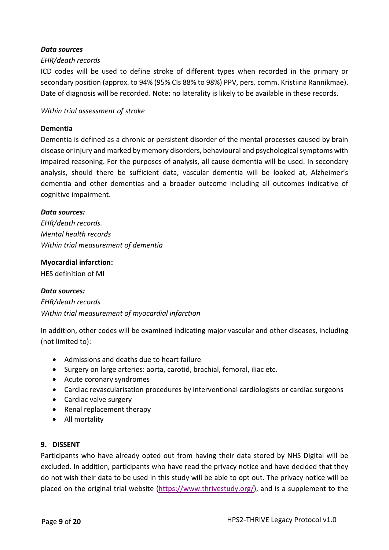### *Data sources*

#### *EHR/death records*

ICD codes will be used to define stroke of different types when recorded in the primary or secondary position (approx. to 94% (95% CIs 88% to 98%) PPV, pers. comm. Kristiina Rannikmae). Date of diagnosis will be recorded. Note: no laterality is likely to be available in these records.

#### *Within trial assessment of stroke*

#### **Dementia**

Dementia is defined as a chronic or persistent disorder of the mental processes caused by brain disease or injury and marked by memory disorders, behavioural and psychological symptoms with impaired reasoning. For the purposes of analysis, all cause dementia will be used. In secondary analysis, should there be sufficient data, vascular dementia will be looked at, Alzheimer's dementia and other dementias and a broader outcome including all outcomes indicative of cognitive impairment.

#### *Data sources:*

*EHR/death records. Mental health records Within trial measurement of dementia* 

#### **Myocardial infarction:**

HES definition of MI

#### *Data sources:*

*EHR/death records Within trial measurement of myocardial infarction*

In addition, other codes will be examined indicating major vascular and other diseases, including (not limited to):

- Admissions and deaths due to heart failure
- Surgery on large arteries: aorta, carotid, brachial, femoral, iliac etc.
- Acute coronary syndromes
- Cardiac revascularisation procedures by interventional cardiologists or cardiac surgeons
- Cardiac valve surgery
- Renal replacement therapy
- All mortality

#### <span id="page-8-0"></span>**9. DISSENT**

Participants who have already opted out from having their data stored by NHS Digital will be excluded. In addition, participants who have read the privacy notice and have decided that they do not wish their data to be used in this study will be able to opt out. The privacy notice will be placed on the original trial website ([https://www.thrivestudy.org/\)](https://www.thrivestudy.org/), and is a supplement to the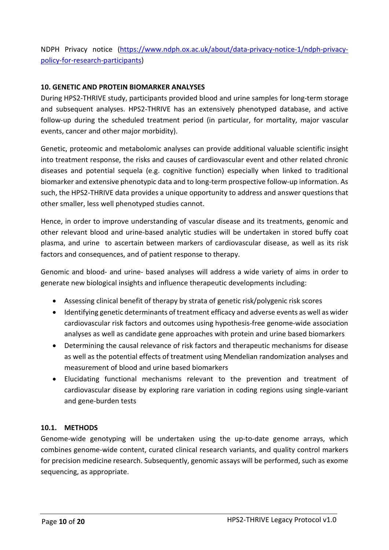NDPH Privacy notice ([https://www.ndph.ox.ac.uk/about/data-privacy-notice-1/ndph-privacy](https://www.ndph.ox.ac.uk/about/data-privacy-notice-1/ndph-privacy-policy-for-research-participants)[policy-for-research-participants\)](https://www.ndph.ox.ac.uk/about/data-privacy-notice-1/ndph-privacy-policy-for-research-participants) 

## <span id="page-9-0"></span>**10. GENETIC AND PROTEIN BIOMARKER ANALYSES**

During HPS2-THRIVE study, participants provided blood and urine samples for long-term storage and subsequent analyses. HPS2-THRIVE has an extensively phenotyped database, and active follow-up during the scheduled treatment period (in particular, for mortality, major vascular events, cancer and other major morbidity).

Genetic, proteomic and metabolomic analyses can provide additional valuable scientific insight into treatment response, the risks and causes of cardiovascular event and other related chronic diseases and potential sequela (e.g. cognitive function) especially when linked to traditional biomarker and extensive phenotypic data and to long-term prospective follow-up information. As such, the HPS2-THRIVE data provides a unique opportunity to address and answer questions that other smaller, less well phenotyped studies cannot.

Hence, in order to improve understanding of vascular disease and its treatments, genomic and other relevant blood and urine-based analytic studies will be undertaken in stored buffy coat plasma, and urine to ascertain between markers of cardiovascular disease, as well as its risk factors and consequences, and of patient response to therapy.

Genomic and blood- and urine- based analyses will address a wide variety of aims in order to generate new biological insights and influence therapeutic developments including:

- Assessing clinical benefit of therapy by strata of genetic risk/polygenic risk scores
- Identifying genetic determinants of treatment efficacy and adverse events as well as wider cardiovascular risk factors and outcomes using hypothesis-free genome-wide association analyses as well as candidate gene approaches with protein and urine based biomarkers
- Determining the causal relevance of risk factors and therapeutic mechanisms for disease as well as the potential effects of treatment using Mendelian randomization analyses and measurement of blood and urine based biomarkers
- Elucidating functional mechanisms relevant to the prevention and treatment of cardiovascular disease by exploring rare variation in coding regions using single-variant and gene-burden tests

### <span id="page-9-1"></span>**10.1. METHODS**

Genome-wide genotyping will be undertaken using the up-to-date genome arrays, which combines genome-wide content, curated clinical research variants, and quality control markers for precision medicine research. Subsequently, genomic assays will be performed, such as exome sequencing, as appropriate.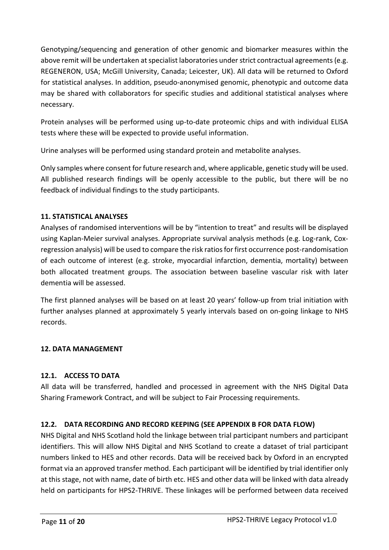Genotyping/sequencing and generation of other genomic and biomarker measures within the above remit will be undertaken at specialist laboratories under strict contractual agreements (e.g. REGENERON, USA; McGill University, Canada; Leicester, UK). All data will be returned to Oxford for statistical analyses. In addition, pseudo-anonymised genomic, phenotypic and outcome data may be shared with collaborators for specific studies and additional statistical analyses where necessary.

Protein analyses will be performed using up-to-date proteomic chips and with individual ELISA tests where these will be expected to provide useful information.

Urine analyses will be performed using standard protein and metabolite analyses.

Only samples where consent for future research and, where applicable, genetic study will be used. All published research findings will be openly accessible to the public, but there will be no feedback of individual findings to the study participants.

# <span id="page-10-0"></span>**11. STATISTICAL ANALYSES**

Analyses of randomised interventions will be by "intention to treat" and results will be displayed using Kaplan-Meier survival analyses. Appropriate survival analysis methods (e.g. Log-rank, Coxregression analysis) will be used to compare the risk ratios for first occurrence post-randomisation of each outcome of interest (e.g. stroke, myocardial infarction, dementia, mortality) between both allocated treatment groups. The association between baseline vascular risk with later dementia will be assessed.

The first planned analyses will be based on at least 20 years' follow-up from trial initiation with further analyses planned at approximately 5 yearly intervals based on on-going linkage to NHS records.

# <span id="page-10-1"></span>**12. DATA MANAGEMENT**

# <span id="page-10-2"></span>**12.1. ACCESS TO DATA**

All data will be transferred, handled and processed in agreement with the NHS Digital Data Sharing Framework Contract, and will be subject to Fair Processing requirements.

# <span id="page-10-3"></span>**12.2. DATA RECORDING AND RECORD KEEPING (SEE APPENDIX B FOR DATA FLOW)**

NHS Digital and NHS Scotland hold the linkage between trial participant numbers and participant identifiers. This will allow NHS Digital and NHS Scotland to create a dataset of trial participant numbers linked to HES and other records. Data will be received back by Oxford in an encrypted format via an approved transfer method. Each participant will be identified by trial identifier only at this stage, not with name, date of birth etc. HES and other data will be linked with data already held on participants for HPS2-THRIVE. These linkages will be performed between data received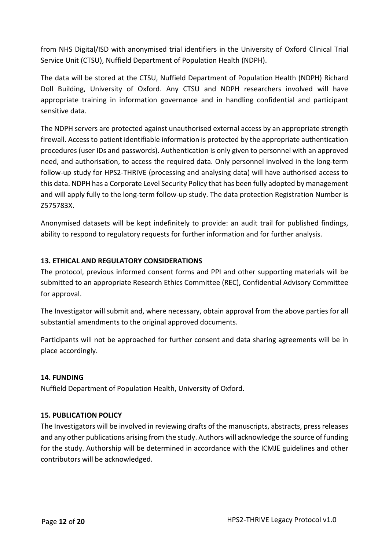from NHS Digital/ISD with anonymised trial identifiers in the University of Oxford Clinical Trial Service Unit (CTSU), Nuffield Department of Population Health (NDPH).

The data will be stored at the CTSU, Nuffield Department of Population Health (NDPH) Richard Doll Building, University of Oxford. Any CTSU and NDPH researchers involved will have appropriate training in information governance and in handling confidential and participant sensitive data.

The NDPH servers are protected against unauthorised external access by an appropriate strength firewall. Access to patient identifiable information is protected by the appropriate authentication procedures (user IDs and passwords). Authentication is only given to personnel with an approved need, and authorisation, to access the required data. Only personnel involved in the long-term follow-up study for HPS2-THRIVE (processing and analysing data) will have authorised access to this data. NDPH has a Corporate Level Security Policy that has been fully adopted by management and will apply fully to the long-term follow-up study. The data protection Registration Number is Z575783X.

Anonymised datasets will be kept indefinitely to provide: an audit trail for published findings, ability to respond to regulatory requests for further information and for further analysis.

# <span id="page-11-0"></span>**13. ETHICAL AND REGULATORY CONSIDERATIONS**

The protocol, previous informed consent forms and PPI and other supporting materials will be submitted to an appropriate Research Ethics Committee (REC), Confidential Advisory Committee for approval.

The Investigator will submit and, where necessary, obtain approval from the above parties for all substantial amendments to the original approved documents.

Participants will not be approached for further consent and data sharing agreements will be in place accordingly.

# <span id="page-11-1"></span>**14. FUNDING**

Nuffield Department of Population Health, University of Oxford.

# <span id="page-11-2"></span>**15. PUBLICATION POLICY**

The Investigators will be involved in reviewing drafts of the manuscripts, abstracts, press releases and any other publications arising from the study. Authors will acknowledge the source of funding for the study. Authorship will be determined in accordance with the ICMJE guidelines and other contributors will be acknowledged.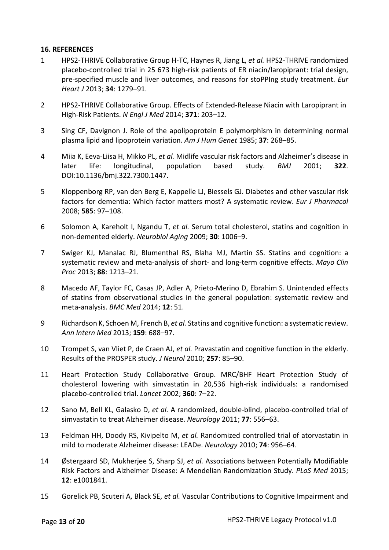#### <span id="page-12-0"></span>**16. REFERENCES**

- 1 HPS2-THRIVE Collaborative Group H-TC, Haynes R, Jiang L, *et al.* HPS2-THRIVE randomized placebo-controlled trial in 25 673 high-risk patients of ER niacin/laropiprant: trial design, pre-specified muscle and liver outcomes, and reasons for stoPPIng study treatment. *Eur Heart J* 2013; **34**: 1279–91.
- 2 HPS2-THRIVE Collaborative Group. Effects of Extended-Release Niacin with Laropiprant in High-Risk Patients. *N Engl J Med* 2014; **371**: 203–12.
- 3 Sing CF, Davignon J. Role of the apolipoprotein E polymorphism in determining normal plasma lipid and lipoprotein variation. *Am J Hum Genet* 1985; **37**: 268–85.
- 4 Miia K, Eeva-Liisa H, Mikko PL, *et al.* Midlife vascular risk factors and Alzheimer's disease in later life: longitudinal, population based study. *BMJ* 2001; **322**. DOI:10.1136/bmj.322.7300.1447.
- 5 Kloppenborg RP, van den Berg E, Kappelle LJ, Biessels GJ. Diabetes and other vascular risk factors for dementia: Which factor matters most? A systematic review. *Eur J Pharmacol* 2008; **585**: 97–108.
- 6 Solomon A, Kareholt I, Ngandu T, *et al.* Serum total cholesterol, statins and cognition in non-demented elderly. *Neurobiol Aging* 2009; **30**: 1006–9.
- 7 Swiger KJ, Manalac RJ, Blumenthal RS, Blaha MJ, Martin SS. Statins and cognition: a systematic review and meta-analysis of short- and long-term cognitive effects. *Mayo Clin Proc* 2013; **88**: 1213–21.
- 8 Macedo AF, Taylor FC, Casas JP, Adler A, Prieto-Merino D, Ebrahim S. Unintended effects of statins from observational studies in the general population: systematic review and meta-analysis. *BMC Med* 2014; **12**: 51.
- 9 Richardson K, Schoen M, French B, *et al.* Statins and cognitive function: a systematic review. *Ann Intern Med* 2013; **159**: 688–97.
- 10 Trompet S, van Vliet P, de Craen AJ, *et al.* Pravastatin and cognitive function in the elderly. Results of the PROSPER study. *J Neurol* 2010; **257**: 85–90.
- 11 Heart Protection Study Collaborative Group. MRC/BHF Heart Protection Study of cholesterol lowering with simvastatin in 20,536 high-risk individuals: a randomised placebo-controlled trial. *Lancet* 2002; **360**: 7–22.
- 12 Sano M, Bell KL, Galasko D, *et al.* A randomized, double-blind, placebo-controlled trial of simvastatin to treat Alzheimer disease. *Neurology* 2011; **77**: 556–63.
- 13 Feldman HH, Doody RS, Kivipelto M, *et al.* Randomized controlled trial of atorvastatin in mild to moderate Alzheimer disease: LEADe. *Neurology* 2010; **74**: 956–64.
- 14 Østergaard SD, Mukherjee S, Sharp SJ, *et al.* Associations between Potentially Modifiable Risk Factors and Alzheimer Disease: A Mendelian Randomization Study. *PLoS Med* 2015; **12**: e1001841.
- 15 Gorelick PB, Scuteri A, Black SE, *et al.* Vascular Contributions to Cognitive Impairment and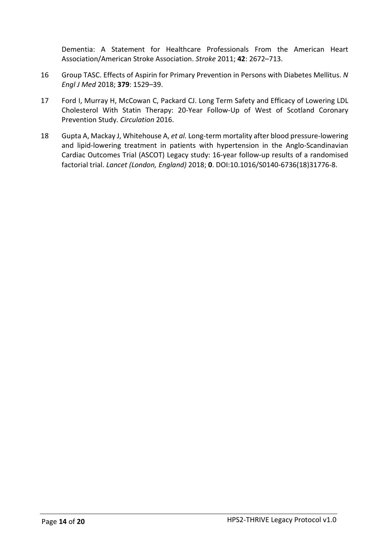Dementia: A Statement for Healthcare Professionals From the American Heart Association/American Stroke Association. *Stroke* 2011; **42**: 2672–713.

- 16 Group TASC. Effects of Aspirin for Primary Prevention in Persons with Diabetes Mellitus. *N Engl J Med* 2018; **379**: 1529–39.
- 17 Ford I, Murray H, McCowan C, Packard CJ. Long Term Safety and Efficacy of Lowering LDL Cholesterol With Statin Therapy: 20-Year Follow-Up of West of Scotland Coronary Prevention Study. *Circulation* 2016.
- 18 Gupta A, Mackay J, Whitehouse A, *et al.* Long-term mortality after blood pressure-lowering and lipid-lowering treatment in patients with hypertension in the Anglo-Scandinavian Cardiac Outcomes Trial (ASCOT) Legacy study: 16-year follow-up results of a randomised factorial trial. *Lancet (London, England)* 2018; **0**. DOI:10.1016/S0140-6736(18)31776-8.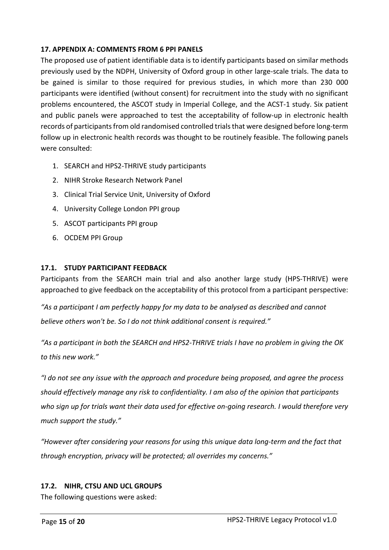## <span id="page-14-0"></span>**17. APPENDIX A: COMMENTS FROM 6 PPI PANELS**

The proposed use of patient identifiable data is to identify participants based on similar methods previously used by the NDPH, University of Oxford group in other large-scale trials. The data to be gained is similar to those required for previous studies, in which more than 230 000 participants were identified (without consent) for recruitment into the study with no significant problems encountered, the ASCOT study in Imperial College, and the ACST-1 study. Six patient and public panels were approached to test the acceptability of follow-up in electronic health records of participants from old randomised controlled trials that were designed before long-term follow up in electronic health records was thought to be routinely feasible. The following panels were consulted:

- 1. SEARCH and HPS2-THRIVE study participants
- 2. NIHR Stroke Research Network Panel
- 3. Clinical Trial Service Unit, University of Oxford
- 4. University College London PPI group
- 5. ASCOT participants PPI group
- 6. OCDEM PPI Group

### <span id="page-14-1"></span>**17.1. STUDY PARTICIPANT FEEDBACK**

Participants from the SEARCH main trial and also another large study (HPS-THRIVE) were approached to give feedback on the acceptability of this protocol from a participant perspective:

*"As a participant I am perfectly happy for my data to be analysed as described and cannot believe others won't be. So I do not think additional consent is required."* 

*"As a participant in both the SEARCH and HPS2-THRIVE trials I have no problem in giving the OK to this new work."* 

*"I do not see any issue with the approach and procedure being proposed, and agree the process should effectively manage any risk to confidentiality. I am also of the opinion that participants who sign up for trials want their data used for effective on-going research. I would therefore very much support the study."* 

*"However after considering your reasons for using this unique data long-term and the fact that through encryption, privacy will be protected; all overrides my concerns."* 

### <span id="page-14-2"></span>**17.2. NIHR, CTSU AND UCL GROUPS**

The following questions were asked: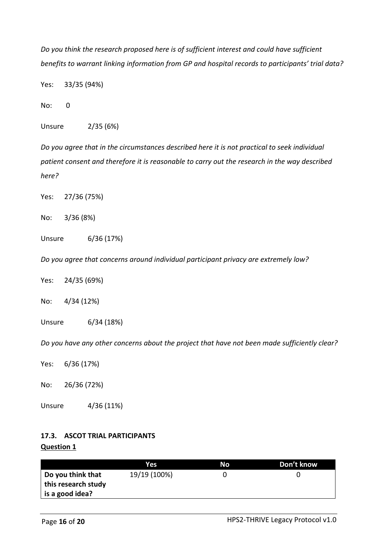*Do you think the research proposed here is of sufficient interest and could have sufficient benefits to warrant linking information from GP and hospital records to participants' trial data?* 

Yes: 33/35 (94%)

No: 0

Unsure 2/35 (6%)

*Do you agree that in the circumstances described here it is not practical to seek individual patient consent and therefore it is reasonable to carry out the research in the way described here?* 

Yes: 27/36 (75%)

No: 3/36 (8%)

Unsure 6/36 (17%)

*Do you agree that concerns around individual participant privacy are extremely low?* 

Yes: 24/35 (69%)

No: 4/34 (12%)

Unsure 6/34 (18%)

*Do you have any other concerns about the project that have not been made sufficiently clear?* 

Yes: 6/36 (17%)

No: 26/36 (72%)

Unsure 4/36 (11%)

# <span id="page-15-0"></span>**17.3. ASCOT TRIAL PARTICIPANTS Question 1**

|                     | Yes.         | Nο | Don't know |
|---------------------|--------------|----|------------|
| Do you think that   | 19/19 (100%) |    |            |
| this research study |              |    |            |
| l is a good idea?   |              |    |            |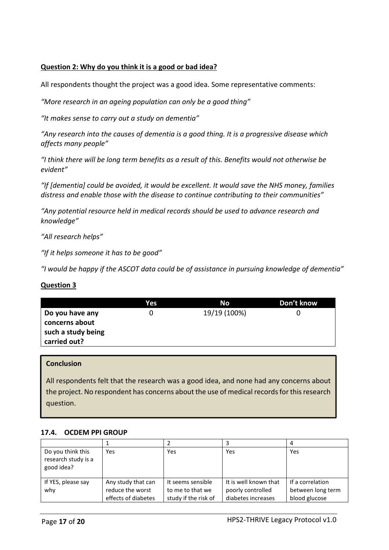## **Question 2: Why do you think it is a good or bad idea?**

All respondents thought the project was a good idea. Some representative comments:

*"More research in an ageing population can only be a good thing"* 

*"It makes sense to carry out a study on dementia"* 

*"Any research into the causes of dementia is a good thing. It is a progressive disease which affects many people"* 

*"I think there will be long term benefits as a result of this. Benefits would not otherwise be evident"* 

*"If [dementia] could be avoided, it would be excellent. It would save the NHS money, families distress and enable those with the disease to continue contributing to their communities"* 

*"Any potential resource held in medical records should be used to advance research and knowledge"* 

*"All research helps"* 

*"If it helps someone it has to be good"* 

*"I would be happy if the ASCOT data could be of assistance in pursuing knowledge of dementia"* 

#### **Question 3**

|                                   | Yes | No           | Don't know |
|-----------------------------------|-----|--------------|------------|
| Do you have any<br>concerns about |     | 19/19 (100%) |            |
| such a study being                |     |              |            |
| carried out?                      |     |              |            |

#### **Conclusion**

All respondents felt that the research was a good idea, and none had any concerns about the project. No respondent has concerns about the use of medical records for this research question.

#### <span id="page-16-0"></span>**17.4. OCDEM PPI GROUP**

| Do you think this<br>research study is a<br>good idea? | Yes                 | Yes                  | Yes                   | Yes               |
|--------------------------------------------------------|---------------------|----------------------|-----------------------|-------------------|
| If YES, please say                                     | Any study that can  | It seems sensible    | It is well known that | If a correlation  |
| why                                                    | reduce the worst    | to me to that we     | poorly controlled     | between long term |
|                                                        | effects of diabetes | study if the risk of | diabetes increases    | blood glucose     |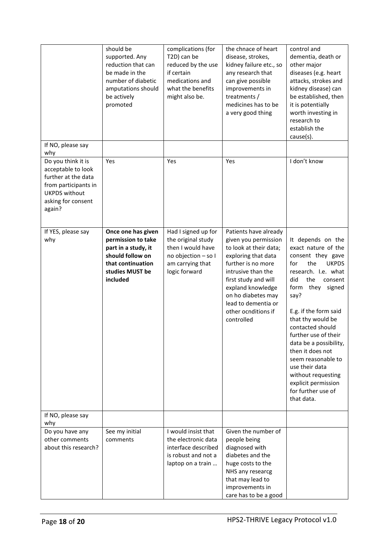|                                                                                                                                                 | should be<br>supported. Any<br>reduction that can<br>be made in the<br>number of diabetic<br>amputations should<br>be actively<br>promoted | complications (for<br>T2D) can be<br>reduced by the use<br>if certain<br>medications and<br>what the benefits<br>might also be. | the chnace of heart<br>disease, strokes,<br>kidney failure etc., so<br>any research that<br>can give possible<br>improvements in<br>treatments /<br>medicines has to be<br>a very good thing                                                                              | control and<br>dementia, death or<br>other major<br>diseases (e.g. heart<br>attacks, strokes and<br>kidney disease) can<br>be established, then<br>it is potentially<br>worth investing in<br>research to<br>establish the<br>cause(s).                                                                                                                                                                                                        |
|-------------------------------------------------------------------------------------------------------------------------------------------------|--------------------------------------------------------------------------------------------------------------------------------------------|---------------------------------------------------------------------------------------------------------------------------------|---------------------------------------------------------------------------------------------------------------------------------------------------------------------------------------------------------------------------------------------------------------------------|------------------------------------------------------------------------------------------------------------------------------------------------------------------------------------------------------------------------------------------------------------------------------------------------------------------------------------------------------------------------------------------------------------------------------------------------|
| If NO, please say<br>why                                                                                                                        |                                                                                                                                            |                                                                                                                                 |                                                                                                                                                                                                                                                                           |                                                                                                                                                                                                                                                                                                                                                                                                                                                |
| Do you think it is<br>acceptable to look<br>further at the data<br>from participants in<br><b>UKPDS without</b><br>asking for consent<br>again? | Yes                                                                                                                                        | Yes                                                                                                                             | Yes                                                                                                                                                                                                                                                                       | I don't know                                                                                                                                                                                                                                                                                                                                                                                                                                   |
| If YES, please say<br>why                                                                                                                       | Once one has given<br>permission to take<br>part in a study, it<br>should follow on<br>that continuation<br>studies MUST be<br>included    | Had I signed up for<br>the original study<br>then I would have<br>no objection - so I<br>am carrying that<br>logic forward      | Patients have already<br>given you permission<br>to look at their data;<br>exploring that data<br>further is no more<br>intrusive than the<br>first study and will<br>expland knowledge<br>on ho diabetes may<br>lead to dementia or<br>other ocnditions if<br>controlled | It depends on the<br>exact nature of the<br>consent they gave<br>the<br><b>UKPDS</b><br>for<br>research. I.e. what<br>the<br>did<br>consent<br>form<br>they<br>signed<br>say?<br>E.g. if the form said<br>that thy would be<br>contacted should<br>further use of their<br>data be a possibility,<br>then it does not<br>seem reasonable to<br>use their data<br>without requesting<br>explicit permission<br>for further use of<br>that data. |
| If NO, please say<br>why                                                                                                                        |                                                                                                                                            |                                                                                                                                 |                                                                                                                                                                                                                                                                           |                                                                                                                                                                                                                                                                                                                                                                                                                                                |
| Do you have any<br>other comments<br>about this research?                                                                                       | See my initial<br>comments                                                                                                                 | I would insist that<br>the electronic data<br>interface described<br>is robust and not a<br>laptop on a train                   | Given the number of<br>people being<br>diagnosed with<br>diabetes and the<br>huge costs to the<br>NHS any researcg<br>that may lead to<br>improvements in<br>care has to be a good                                                                                        |                                                                                                                                                                                                                                                                                                                                                                                                                                                |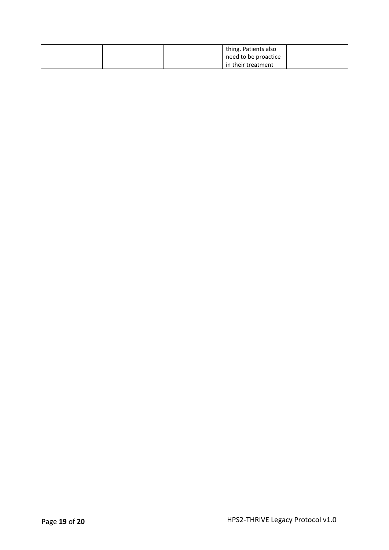| thing. Patients also |  |
|----------------------|--|
| need to be proactice |  |
| in their treatment   |  |